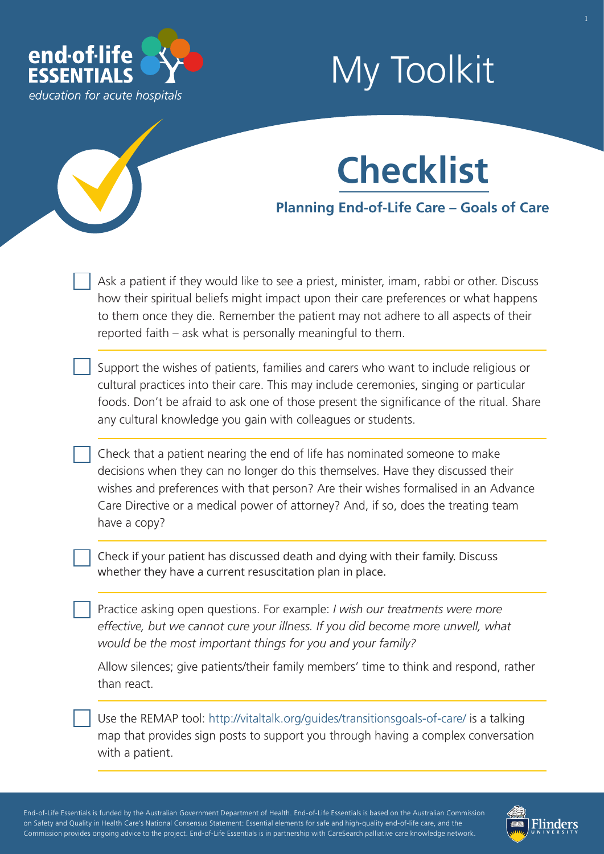

# My Toolkit



**Planning End-of-Life Care – Goals of Care**

Ask a patient if they would like to see a priest, minister, imam, rabbi or other. Discuss how their spiritual beliefs might impact upon their care preferences or what happens to them once they die. Remember the patient may not adhere to all aspects of their reported faith – ask what is personally meaningful to them.

Support the wishes of patients, families and carers who want to include religious or cultural practices into their care. This may include ceremonies, singing or particular foods. Don't be afraid to ask one of those present the significance of the ritual. Share any cultural knowledge you gain with colleagues or students.

Check that a patient nearing the end of life has nominated someone to make decisions when they can no longer do this themselves. Have they discussed their wishes and preferences with that person? Are their wishes formalised in an Advance Care Directive or a medical power of attorney? And, if so, does the treating team have a copy?

Check if your patient has discussed death and dying with their family. Discuss whether they have a current resuscitation plan in place.

Practice asking open questions. For example: *I wish our treatments were more effective, but we cannot cure your illness. If you did become more unwell, what would be the most important things for you and your family?*

Allow silences; give patients/their family members' time to think and respond, rather than react.

Use the REMAP tool: [http://vitaltalk.org/guides/transitionsgoals-of-care/ is](http://vitaltalk.org/guides/transitionsgoals-of-care/) a talking map that provides sign posts to support you through having a complex conversation with a patient.

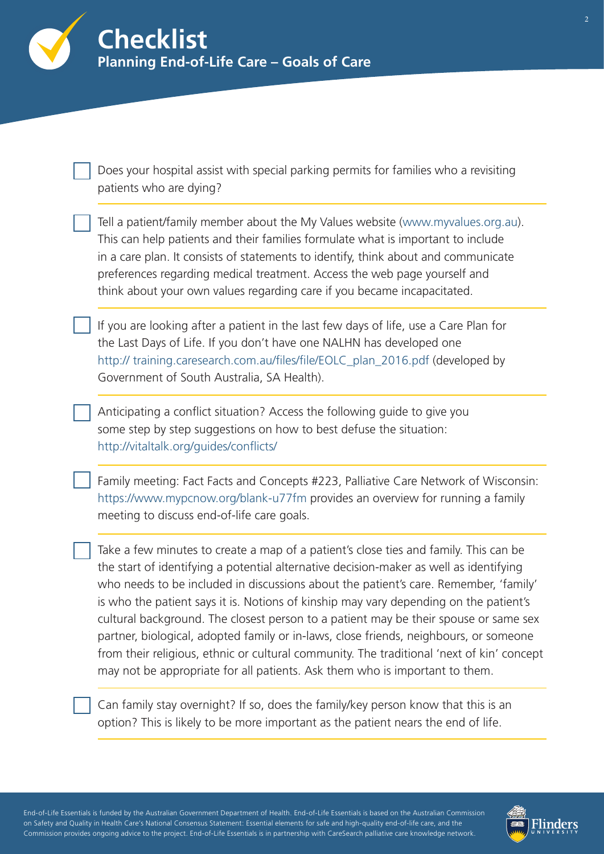

Does your hospital assist with special parking permits for families who a revisiting patients who are dying?

| Tell a patient/family member about the My Values website (www.myvalues.org.au).    |
|------------------------------------------------------------------------------------|
| This can help patients and their families formulate what is important to include   |
| in a care plan. It consists of statements to identify, think about and communicate |
| preferences regarding medical treatment. Access the web page yourself and          |
| think about your own values regarding care if you became incapacitated.            |

If you are looking after a patient in the last few days of life, use a Care Plan for the Last Days of Life. If you don't have one NALHN has developed one [http:// training.caresearch.com.au/files/file/EOLC\\_plan\\_2016.pdf \(d](http://training.caresearch.com.au/files/file/EOLC_plan_2016.pdf)eveloped by Government of South Australia, SA Health).

Anticipating a conflict situation? Access the following guide to give you some step by step suggestions on how to best defuse the situation: <http://vitaltalk.org/guides/conflicts/>

Family meeting: Fact Facts and Concepts #223, Palliative Care Network of Wisconsin: [https://www.mypcnow.org/blank-u77fm pr](https://www.mypcnow.org/blank-u77fm)ovides an overview for running a family meeting to discuss end-of-life care goals.

Take a few minutes to create a map of a patient's close ties and family. This can be the start of identifying a potential alternative decision-maker as well as identifying who needs to be included in discussions about the patient's care. Remember, 'family' is who the patient says it is. Notions of kinship may vary depending on the patient's cultural background. The closest person to a patient may be their spouse or same sex partner, biological, adopted family or in-laws, close friends, neighbours, or someone from their religious, ethnic or cultural community. The traditional 'next of kin' concept may not be appropriate for all patients. Ask them who is important to them.

Can family stay overnight? If so, does the family/key person know that this is an option? This is likely to be more important as the patient nears the end of life.

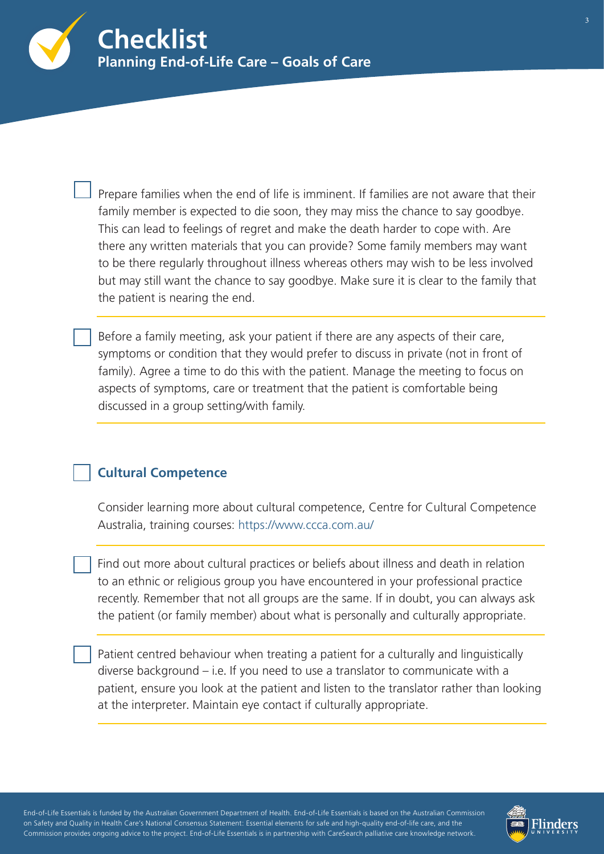

Prepare families when the end of life is imminent. If families are not aware that their family member is expected to die soon, they may miss the chance to say goodbye. This can lead to feelings of regret and make the death harder to cope with. Are there any written materials that you can provide? Some family members may want to be there regularly throughout illness whereas others may wish to be less involved but may still want the chance to say goodbye. Make sure it is clear to the family that the patient is nearing the end.

Before a family meeting, ask your patient if there are any aspects of their care, symptoms or condition that they would prefer to discuss in private (not in front of family). Agree a time to do this with the patient. Manage the meeting to focus on aspects of symptoms, care or treatment that the patient is comfortable being discussed in a group setting/with family.

## **Cultural Competence**

Consider learning more about cultural competence, Centre for Cultural Competence Australia, trai[ning courses: https://www.ccca.com.au/](https://www.endoflifeessentials.com.au/)

Find out more about cultural practices or beliefs about illness and death in relation to an ethnic or religious group you have encountered in your professional practice recently. Remember that not all groups are the same. If in doubt, you can always ask the patient (or family member) about what is personally and culturally appropriate.

Patient centred behaviour when treating a patient for a culturally and linguistically diverse background – i.e. If you need to use a translator to communicate with a patient, ensure you look at the patient and listen to the translator rather than looking at the interpreter. Maintain eye contact if culturally appropriate.

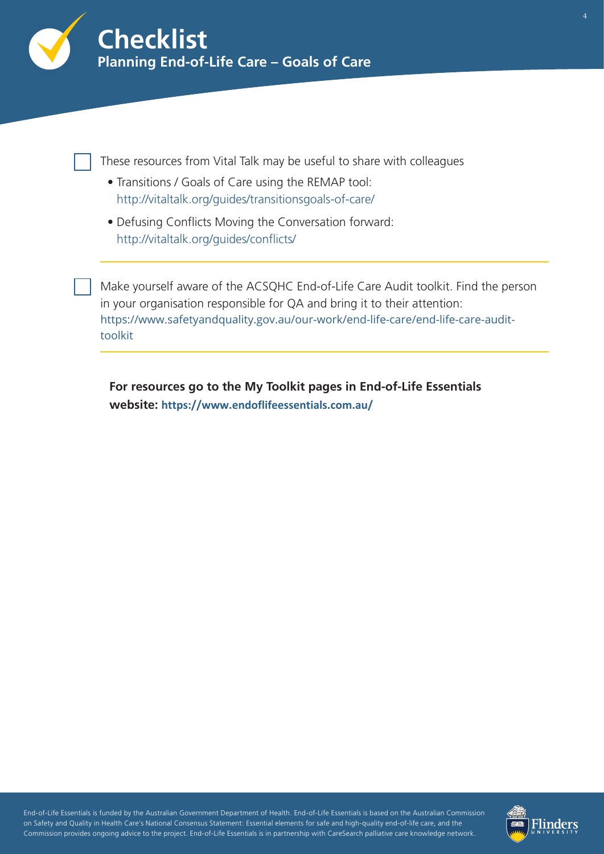

These resources from Vital Talk may be useful to share with colleagues

- Transitions / Goals of Care using the REMAP tool: <http://vitaltalk.org/guides/transitionsgoals-of-care/>
- Defusing Conflicts Moving the Conversation forward: [http://vitaltalk.org/guides/conflicts/](https://www.vitaltalk.org/guides/conflicts/)

Make yourself aware of the ACSQHC End-of-Life Care Audit toolkit. Find the person in your organisation responsible for QA and bring it to their attention: [https://www.safetyandquality.gov.au/our-work/end-life-care/end-life-care-audit](https://www.safetyandquality.gov.au/our-work/end-life-care/end-life-care-audit-toolkit)toolkit

**For resources go to the My Toolkit pages in End-of-Life Essentials website: <https://www.endoflifeessentials.com.au/>**

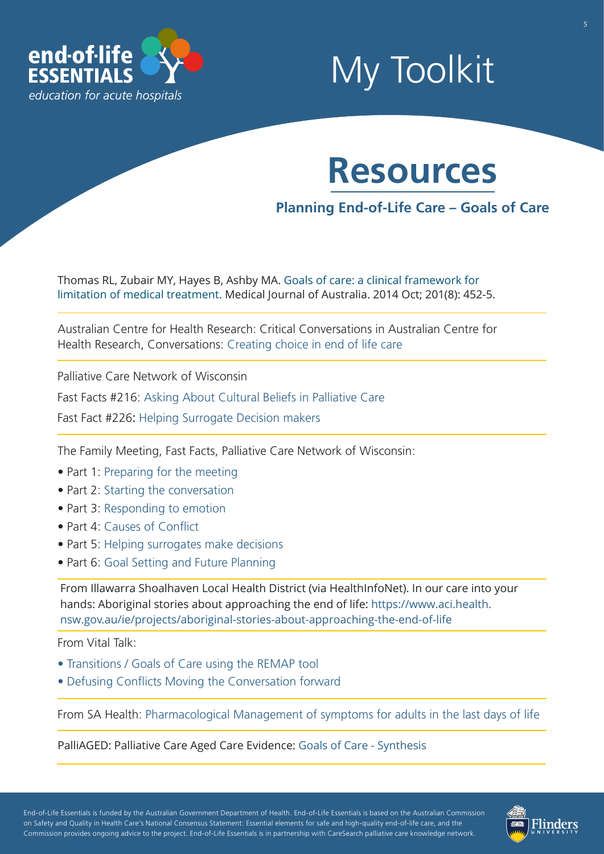

## My Toolkit



## **Planning End-of-Life Care – Goals of Care**

[Thomas RL, Zubair MY, Hayes B, Ashby MA. Goals of care: a clinical framework for](https://www.mja.com.au/journal/2014/201/8/goals-care-clinical-framework-limitation-medical-treatment)  [limitation of medical treatment. Medical Journal of Australia. 2014 Oct; 201\(8\): 452-5.](https://www.mja.com.au/journal/2014/201/8/goals-care-clinical-framework-limitation-medical-treatment)

Australian Centre for Health Research: Critical Conversations in Australian Centre for Health Research, Conver[sations: Creating choice in end of life](https://www.pc.gov.au/__data/assets/pdf_file/0019/220465/subdr587-human-services-reform-attachment.pdf) care

Palliative Care Network of Wisconsin

Fast Facts #216: [Asking About Cultural Beliefs in Palliative Care](https://www.mypcnow.org/blank-g562m)

Fast Fact #226: [Helping Surrogate Decision makers](https://www.mypcnow.org/blank-fpu2r) 

The Family Meeting, Fast Facts, Palliative Care Network of Wisconsin:

- Part 1[: Preparing for the meeting](https://www.mypcnow.org/blank-qrd7h)
- Part 2: [Starting the conversation](https://www.mypcnow.org/blank-u77fm)
- Part 3: [Responding to emotion](https://www.mypcnow.org/blank-k4ibb)
- Part 4: [Causes of Conflict](https://www.mypcnow.org/blank-uf1mk)
- Part 5: [Helping surrogates make decisions](https://www.mypcnow.org/blank-fpu2r)
- Part 6: [Goal Setting and Future Planning](https://www.mypcnow.org/blank-v4djd)

From Illawarra Shoalhaven Local Health District (via HealthInfoNet). In our care into your hands: Aboriginal stories about approaching the end of life: [https://www.aci.health.](https://www.aci.health.nsw.gov.au/ie/projects/aboriginal-stories-about-approaching-the-end-of-life) [nsw.gov.au/ie/projects/aboriginal-stories-about-approaching-the-end-of-life](https://healthinfonet.ecu.edu.au/key-resources/resources/34967/?title=In%20our%20care%20into%20your%20hands%3A%20Aboriginal%20stories%20about%20approaching%20the%20end%20of%20life&contentid=34967_1)

From Vital Talk:

- • [Transitions / Goals of Care using the REMAP tool](https://vitaltalk.org/guides/transitionsgoals-of-care/)
- • [Defusing Conflicts Moving the Conversation forward](https://vitaltalk.org/guides/conflicts/)

From SA Health: [Pharmacological Management of symptoms for adults in the last days of life](https://www.sahealth.sa.gov.au/wps/wcm/connect/public+content/sa+health+internet/clinical+resources/clinical+programs+and+practice+guidelines/medicines+and+drugs/pharmacological+management+of+symptoms+for+adults+in+the+last+days+of+life/pharmacological+management+of+symptoms+for+adults+in+the+last+days+of+life)

PalliAGED: Palliative Care Aged Care Evidence: [Goals of Care - Synthesis](https://www.palliaged.com.au/tabid/4327/Default.aspx)

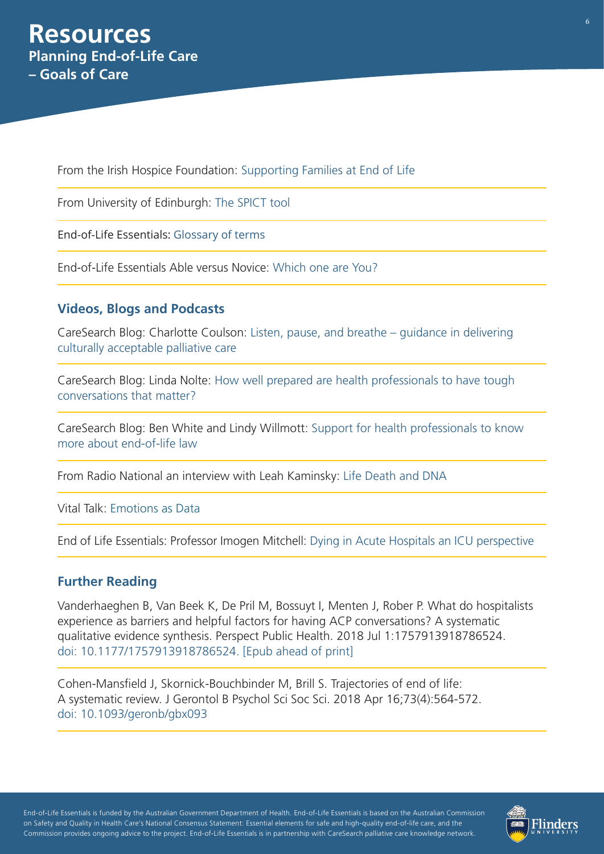From the Irish Hospice Foundation: [Supporting Families at End of Life](https://hospicefoundation.ie/i-need-help/i-am-bereaved/types-of-grief/the-grieving-family/)

From University of Edinburgh: [The SPICT tool](https://www.endoflifeessentials.com.au/Portals/14/document/SPICT_April_2019_EOLE.pdf)

End-of-Life Essentials: [Glossary of terms](https://www.endoflifeessentials.com.au/tabid/5311/Default.aspx)

End-of-Life Essentials Able versus Novice: [Which one are You?](https://www.endoflifeessentials.com.au/Portals/14/Images/Education%20Module/ABLE-VS-NOVICE.jpg)

### **Videos, Blogs and Podcasts**

[CareSearch Blog: Charlotte Coulson: Listen, pause, and breathe – guidance in delivering](https://www.caresearch.com.au/TabId/6568/ArtMID/17907/ArticleID/2500/Listen-pause-and-breathe-%E2%80%93-guidance-in-delivering-culturally-acceptable-palliative-care.aspx) culturally acceptable palliative care

CareSearch Blog: Linda Nolte: [How well prepared are health professionals to have tough](https://www.caresearch.com.au/TabId/6568/ArtMID/17907/ArticleID/2413/How-well-prepared-are-health-professionals-to-have-tough-conversations-that-matter.aspx)  conversations that matter?

[CareSearch Blog: Ben White and Lindy Willmott:](https://www.caresearch.com.au/TabId/6568/ArtMID/17907/ArticleID/2190/Support-for-health-professionals-to-know-more-about-end-of-life-law.aspx) Support for health professionals to know more about end-of-life law

From Radio National an interview with Leah Kaminsky: [Life Death and DNA](https://www.abc.net.au/radionational/programs/latenightlive/death-and-dna/7480428) 

Vital Talk: [Emotions as Data](https://vimeo.com/85616371)

End of Life Essentials: Professor Imogen Mitchell: [Dying in Acute Hospitals an ICU perspective](https://www.youtube.com/watch?v=2JbSVfjemTI) 

#### **Further Reading**

Vanderhaeghen B, Van Beek K, De Pril M, Bossuyt I, Menten J, Rober P. What do hospitalists experience as barriers and helpful factors for having ACP conversations? A systematic qualitative evidence synthesis. Perspect Public Health. 2018 Jul 1:1757913918786524. [doi: 10.1177/1757913918786524. \[Epub ahead of print\]](https://www.ncbi.nlm.nih.gov/pubmed/30010486)

Cohen-Mansfield J, Skornick-Bouchbinder M, Brill S. Trajectories of end of life: A systematic review. J Gerontol B Psychol Sci Soc Sci. 2018 Apr 16;73(4):564-572. [doi: 10.1093/geronb/gbx093](https://www.ncbi.nlm.nih.gov/pubmed/28977651)